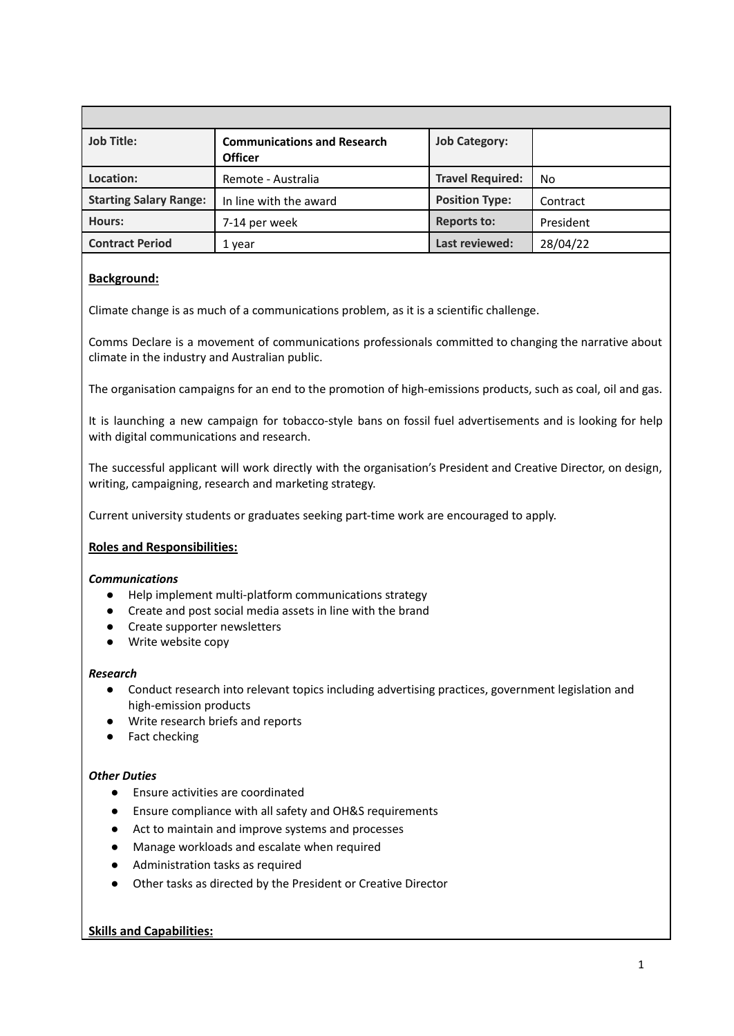| <b>Job Title:</b>             | <b>Communications and Research</b><br><b>Officer</b> | <b>Job Category:</b>    |           |
|-------------------------------|------------------------------------------------------|-------------------------|-----------|
| Location:                     | Remote - Australia                                   | <b>Travel Required:</b> | No.       |
| <b>Starting Salary Range:</b> | In line with the award                               | <b>Position Type:</b>   | Contract  |
| Hours:                        | 7-14 per week                                        | <b>Reports to:</b>      | President |
| <b>Contract Period</b>        | 1 year                                               | Last reviewed:          | 28/04/22  |

# **Background:**

Climate change is as much of a communications problem, as it is a scientific challenge.

Comms Declare is a movement of communications professionals committed to changing the narrative about climate in the industry and Australian public.

The organisation campaigns for an end to the promotion of high-emissions products, such as coal, oil and gas.

It is launching a new campaign for tobacco-style bans on fossil fuel advertisements and is looking for help with digital communications and research.

The successful applicant will work directly with the organisation's President and Creative Director, on design, writing, campaigning, research and marketing strategy.

Current university students or graduates seeking part-time work are encouraged to apply.

# **Roles and Responsibilities:**

# *Communications*

- Help implement multi-platform communications strategy
- Create and post social media assets in line with the brand
- Create supporter newsletters
- Write website copy

#### *Research*

- Conduct research into relevant topics including advertising practices, government legislation and high-emission products
- Write research briefs and reports
- Fact checking

# *Other Duties*

- *●* Ensure activities are coordinated
- *●* Ensure compliance with all safety and OH&S requirements
- *●* Act to maintain and improve systems and processes
- *●* Manage workloads and escalate when required
- Administration tasks as required
- *●* Other tasks as directed by the President or Creative Director

# **Skills and Capabilities:**